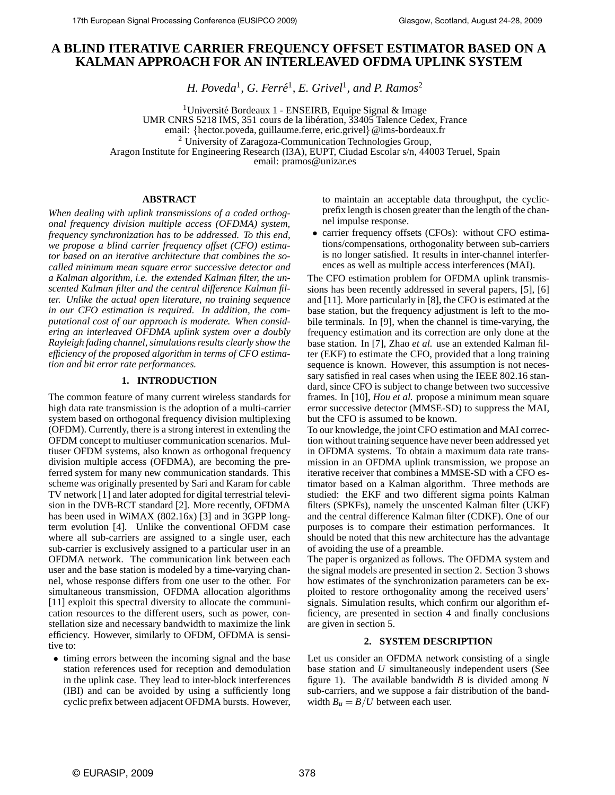# **A BLIND ITERATIVE CARRIER FREQUENCY OFFSET ESTIMATOR BASED ON A KALMAN APPROACH FOR AN INTERLEAVED OFDMA UPLINK SYSTEM**

*H. Poveda*<sup>1</sup> *, G. Ferre´* 1 *, E. Grivel*<sup>1</sup> *, and P. Ramos*<sup>2</sup>

<sup>1</sup>Université Bordeaux 1 - ENSEIRB, Equipe Signal & Image UMR CNRS 5218 IMS, 351 cours de la libération, 33405 Talence Cedex, France email: {hector.poveda, guillaume.ferre, eric.grivel}@ims-bordeaux.fr <sup>2</sup> University of Zaragoza-Communication Technologies Group, Aragon Institute for Engineering Research (I3A), EUPT, Ciudad Escolar s/n, 44003 Teruel, Spain email: pramos@unizar.es

### **ABSTRACT**

*When dealing with uplink transmissions of a coded orthogonal frequency division multiple access (OFDMA) system, frequency synchronization has to be addressed. To this end, we propose a blind carrier frequency offset (CFO) estimator based on an iterative architecture that combines the socalled minimum mean square error successive detector and a Kalman algorithm, i.e. the extended Kalman filter, the unscented Kalman filter and the central difference Kalman filter. Unlike the actual open literature, no training sequence in our CFO estimation is required. In addition, the computational cost of our approach is moderate. When considering an interleaved OFDMA uplink system over a doubly Rayleigh fading channel, simulations results clearly show the efficiency of the proposed algorithm in terms of CFO estimation and bit error rate performances.*

## **1. INTRODUCTION**

The common feature of many current wireless standards for high data rate transmission is the adoption of a multi-carrier system based on orthogonal frequency division multiplexing (OFDM). Currently, there is a strong interest in extending the OFDM concept to multiuser communication scenarios. Multiuser OFDM systems, also known as orthogonal frequency division multiple access (OFDMA), are becoming the preferred system for many new communication standards. This scheme was originally presented by Sari and Karam for cable TV network [1] and later adopted for digital terrestrial television in the DVB-RCT standard [2]. More recently, OFDMA has been used in WiMAX (802.16x) [3] and in 3GPP longterm evolution [4]. Unlike the conventional OFDM case where all sub-carriers are assigned to a single user, each sub-carrier is exclusively assigned to a particular user in an OFDMA network. The communication link between each user and the base station is modeled by a time-varying channel, whose response differs from one user to the other. For simultaneous transmission, OFDMA allocation algorithms [11] exploit this spectral diversity to allocate the communication resources to the different users, such as power, constellation size and necessary bandwidth to maximize the link efficiency. However, similarly to OFDM, OFDMA is sensitive to:

• timing errors between the incoming signal and the base station references used for reception and demodulation in the uplink case. They lead to inter-block interferences (IBI) and can be avoided by using a sufficiently long cyclic prefix between adjacent OFDMA bursts. However,

to maintain an acceptable data throughput, the cyclicprefix length is chosen greater than the length of the channel impulse response.

• carrier frequency offsets (CFOs): without CFO estimations/compensations, orthogonality between sub-carriers is no longer satisfied. It results in inter-channel interferences as well as multiple access interferences (MAI).

The CFO estimation problem for OFDMA uplink transmissions has been recently addressed in several papers, [5], [6] and [11]. More particularly in [8], the CFO is estimated at the base station, but the frequency adjustment is left to the mobile terminals. In [9], when the channel is time-varying, the frequency estimation and its correction are only done at the base station. In [7], Zhao *et al.* use an extended Kalman filter (EKF) to estimate the CFO, provided that a long training sequence is known. However, this assumption is not necessary satisfied in real cases when using the IEEE 802.16 standard, since CFO is subject to change between two successive frames. In [10], *Hou et al.* propose a minimum mean square error successive detector (MMSE-SD) to suppress the MAI, but the CFO is assumed to be known.

To our knowledge, the joint CFO estimation and MAI correction without training sequence have never been addressed yet in OFDMA systems. To obtain a maximum data rate transmission in an OFDMA uplink transmission, we propose an iterative receiver that combines a MMSE-SD with a CFO estimator based on a Kalman algorithm. Three methods are studied: the EKF and two different sigma points Kalman filters (SPKFs), namely the unscented Kalman filter (UKF) and the central difference Kalman filter (CDKF). One of our purposes is to compare their estimation performances. It should be noted that this new architecture has the advantage of avoiding the use of a preamble.

The paper is organized as follows. The OFDMA system and the signal models are presented in section 2. Section 3 shows how estimates of the synchronization parameters can be exploited to restore orthogonality among the received users' signals. Simulation results, which confirm our algorithm efficiency, are presented in section 4 and finally conclusions are given in section 5.

### **2. SYSTEM DESCRIPTION**

Let us consider an OFDMA network consisting of a single base station and *U* simultaneously independent users (See figure 1). The available bandwidth *B* is divided among *N* sub-carriers, and we suppose a fair distribution of the bandwidth  $B_u = B/U$  between each user.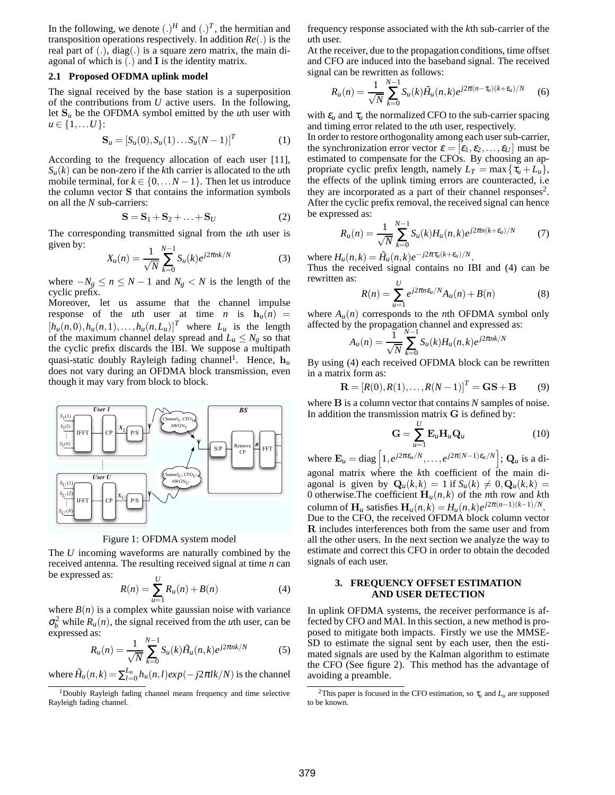In the following, we denote  $(.)^H$  and  $(.)^T$ , the hermitian and transposition operations respectively. In addition *Re*(.) is the real part of (.), diag(.) is a square zero matrix, the main diagonal of which is  $(.)$  and  $I$  is the identity matrix.

#### **2.1 Proposed OFDMA uplink model**

The signal received by the base station is a superposition of the contributions from *U* active users. In the following, let S*<sup>u</sup>* be the OFDMA symbol emitted by the *u*th user with  $u \in \{1,...,U\}$ :

$$
\mathbf{S}_u = [S_u(0), S_u(1) \dots S_u(N-1)]^T
$$
 (1)

According to the frequency allocation of each user [11],  $S_{\mu}(k)$  can be non-zero if the *k*th carrier is allocated to the *u*th mobile terminal, for  $k \in \{0, \ldots N-1\}$ . Then let us introduce the column vector S that contains the information symbols on all the *N* sub-carriers:

$$
\mathbf{S} = \mathbf{S}_1 + \mathbf{S}_2 + \ldots + \mathbf{S}_U \tag{2}
$$

The corresponding transmitted signal from the *u*th user is given by: *N*−1

$$
X_u(n) = \frac{1}{\sqrt{N}} \sum_{k=0}^{N-1} S_u(k) e^{j2\pi nk/N}
$$
 (3)

where  $-N_g \le n \le N-1$  and  $N_g < N$  is the length of the cyclic prefix.

Moreover, let us assume that the channel impulse response of the *u*th user at time *n* is  $h_u(n)$  =  $[h_u(n,0), h_u(n,1), \ldots, h_u(n, L_u)]^T$  where  $L_u$  is the length of the maximum channel delay spread and  $L_u \leq N_g$  so that the cyclic prefix discards the IBI. We suppose a multipath quasi-static doubly Rayleigh fading channel<sup>1</sup>. Hence,  $h_u$ does not vary during an OFDMA block transmission, even though it may vary from block to block.



Figure 1: OFDMA system model

The *U* incoming waveforms are naturally combined by the received antenna. The resulting received signal at time *n* can be expressed as:  $\mathbf{v}$ 

$$
R(n) = \sum_{u=1}^{U} R_u(n) + B(n)
$$
 (4)

where  $B(n)$  is a complex white gaussian noise with variance  $\sigma_b^2$  while  $R_u(n)$ , the signal received from the *u*th user, can be expressed as:

$$
R_u(n) = \frac{1}{\sqrt{N}} \sum_{k=0}^{N-1} S_u(k) \tilde{H}_u(n,k) e^{j2\pi nk/N}
$$
 (5)

where  $\tilde{H}_u(n,k) = \sum_{l=0}^{L_u} h_u(n,l) exp(-j2\pi l k/N)$  is the channel

frequency response associated with the *k*th sub-carrier of the *u*th user.

At the receiver, due to the propagation conditions, time offset and CFO are induced into the baseband signal. The received signal can be rewritten as follows:

$$
R_u(n) = \frac{1}{\sqrt{N}} \sum_{k=0}^{N-1} S_u(k) \tilde{H}_u(n,k) e^{j2\pi(n-\tau_u)(k+\varepsilon_u)/N}
$$
 (6)

with  $\varepsilon_u$  and  $\tau_u$  the normalized CFO to the sub-carrier spacing and timing error related to the *u*th user, respectively.

In order to restore orthogonality among each user sub-carrier, the synchronization error vector  $\varepsilon = [\varepsilon_1, \varepsilon_2, \dots, \varepsilon_U]$  must be estimated to compensate for the CFOs. By choosing an appropriate cyclic prefix length, namely  $L_T = \max{\lbrace \tau_u + L_u \rbrace}$ , the effects of the uplink timing errors are counteracted, i.e they are incorporated as a part of their channel responses<sup>2</sup>. After the cyclic prefix removal, the received signal can hence be expressed as:

$$
R_u(n) = \frac{1}{\sqrt{N}} \sum_{k=0}^{N-1} S_u(k) H_u(n,k) e^{j2\pi n(k+\varepsilon_u)/N}
$$
 (7)

where  $H_u(n,k) = \tilde{H}_u(n,k)e^{-j2\pi \tau_u(k+\varepsilon_u)/N}$ .

Thus the received signal contains no IBI and (4) can be rewritten as: *U*

$$
R(n) = \sum_{u=1}^{C} e^{j2\pi n \epsilon_u/N} A_u(n) + B(n)
$$
 (8)

where  $A_u(n)$  corresponds to the *n*th OFDMA symbol only affected by the propagation channel and expressed as:

$$
A_u(n) = \frac{1}{\sqrt{N}} \sum_{k=0}^{N-1} S_u(k) H_u(n,k) e^{j2\pi n k/N}
$$

By using (4) each received OFDMA block can be rewritten in a matrix form as:

$$
\mathbf{R} = [R(0), R(1), \dots, R(N-1)]^T = \mathbf{G}\mathbf{S} + \mathbf{B}
$$
(9)

where B is a column vector that contains *N* samples of noise. In addition the transmission matrix  $G$  is defined by:

$$
\mathbf{G} = \sum_{u=1}^{U} \mathbf{E}_{u} \mathbf{H}_{u} \mathbf{Q}_{u}
$$
 (10)

where  $\mathbf{E}_u = \text{diag}\left[1, e^{j2\pi \epsilon_u/N}, \dots, e^{j2\pi (N-1)\epsilon_u/N}\right]$ ;  $\mathbf{Q}_u$  is a diagonal matrix where the *k*th coefficient of the main diagonal is given by  $\mathbf{Q}_u(k,k) = 1$  if  $S_u(k) \neq 0$ ,  $\mathbf{Q}_u(k,k) =$ 0 otherwise. The coefficient  $H_u(n, k)$  of the *n*th row and *k*th column of  $\mathbf{H}_u$  satisfies  $\mathbf{H}_u(n,k) = H_u(n,k)e^{j2\pi(n-1)(k-1)/N}$ . Due to the CFO, the received OFDMA block column vector R includes interferences both from the same user and from all the other users. In the next section we analyze the way to estimate and correct this CFO in order to obtain the decoded signals of each user.

#### **3. FREQUENCY OFFSET ESTIMATION AND USER DETECTION**

In uplink OFDMA systems, the receiver performance is affected by CFO and MAI. In this section, a new method is proposed to mitigate both impacts. Firstly we use the MMSE-SD to estimate the signal sent by each user, then the estimated signals are used by the Kalman algorithm to estimate the CFO (See figure 2). This method has the advantage of avoiding a preamble.

<sup>&</sup>lt;sup>1</sup>Doubly Rayleigh fading channel means frequency and time selective Rayleigh fading channel.

<sup>&</sup>lt;sup>2</sup>This paper is focused in the CFO estimation, so  $\tau_u$  and  $L_u$  are supposed to be known.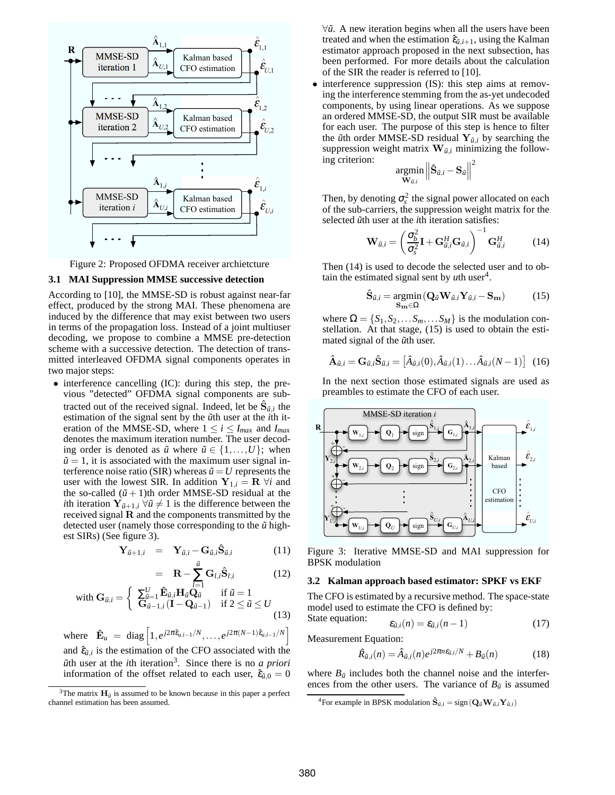

Figure 2: Proposed OFDMA receiver archietcture

### **3.1 MAI Suppression MMSE successive detection**

According to [10], the MMSE-SD is robust against near-far effect, produced by the strong MAI. These phenomena are induced by the difference that may exist between two users in terms of the propagation loss. Instead of a joint multiuser decoding, we propose to combine a MMSE pre-detection scheme with a successive detection. The detection of transmitted interleaved OFDMA signal components operates in two major steps:

• interference cancelling (IC): during this step, the previous "detected" OFDMA signal components are subtracted out of the received signal. Indeed, let be  $\hat{\mathbf{S}}_{\tilde{u},i}$  the estimation of the signal sent by the  $\tilde{u}$ th user at the *i*th iteration of the MMSE-SD, where  $1 \le i \le I_{max}$  and  $I_{max}$ denotes the maximum iteration number. The user decoding order is denoted as  $\tilde{u}$  where  $\tilde{u} \in \{1, \ldots, U\}$ ; when  $\tilde{u} = 1$ , it is associated with the maximum user signal interference noise ratio (SIR) whereas  $\tilde{u} = U$  represents the user with the lowest SIR. In addition  $Y_{1,i} = R \ \forall i$  and the so-called  $(\tilde{u} + 1)$ th order MMSE-SD residual at the *i*th iteration  $Y_{\tilde{u}+1,i}$   $\forall \tilde{u} \neq 1$  is the difference between the received signal R and the components transmitted by the detected user (namely those corresponding to the  $\tilde{u}$  highest SIRs) (See figure 3).

$$
\mathbf{Y}_{\tilde{u}+1,i} = \mathbf{Y}_{\tilde{u},i} - \mathbf{G}_{\tilde{u},i} \hat{\mathbf{S}}_{\tilde{u},i} \tag{11}
$$

$$
= \mathbf{R} - \sum_{l=1}^{\tilde{u}} \mathbf{G}_{l,i} \hat{\mathbf{S}}_{l,i} \qquad (12)
$$

$$
\text{with } \mathbf{G}_{\tilde{u},i} = \left\{ \begin{array}{ll} \boldsymbol{\Sigma}_{\tilde{u}=1}^{U} \, \hat{\mathbf{E}}_{\tilde{u},i} \mathbf{H}_{\tilde{u}} \hat{\mathbf{Q}}_{\tilde{u}} & \text{if } \tilde{u} = 1\\ \mathbf{G}_{\tilde{u}-1,i} \left( \mathbf{I} - \mathbf{Q}_{\tilde{u}-1} \right) & \text{if } 2 \leq \tilde{u} \leq U \end{array} \right. \tag{13}
$$

where  $\hat{\mathbf{E}}_u = \text{diag} \left[ 1, e^{j2\pi \hat{\epsilon}_{u,i-1}/N}, \dots, e^{j2\pi (N-1)\hat{\epsilon}_{u,i-1}/N} \right]$ and  $\hat{\varepsilon}_{\tilde{u},i}$  is the estimation of the CFO associated with the *u*˜th user at the *i*th iteration<sup>3</sup> . Since there is no *a priori* information of the offset related to each user,  $\hat{\varepsilon}_{\tilde{u},0} = 0$  ∀ $\tilde{u}$ . A new iteration begins when all the users have been treated and when the estimation  $\hat{\varepsilon}_{\tilde{u},i+1}$ , using the Kalman estimator approach proposed in the next subsection, has been performed. For more details about the calculation of the SIR the reader is referred to [10].

interference suppression (IS): this step aims at removing the interference stemming from the as-yet undecoded components, by using linear operations. As we suppose an ordered MMSE-SD, the output SIR must be available for each user. The purpose of this step is hence to filter the  $\tilde{u}$ th order MMSE-SD residual  $Y_{\tilde{u},i}$  by searching the suppression weight matrix  $\mathbf{W}_{\tilde{u},i}$  minimizing the following criterion: 2

$$
\underset{\mathbf{W}_{\tilde{u},i}}{\text{argmin}} \left\| \hat{\mathbf{S}}_{\tilde{u},i} - \mathbf{S}_{\tilde{u}} \right\|
$$

Then, by denoting  $\sigma_s^2$  the signal power allocated on each of the sub-carriers, the suppression weight matrix for the selected  $\tilde{u}$ th user at the *i*th iteration satisfies:

$$
\mathbf{W}_{\tilde{u},i} = \left(\frac{\sigma_b^2}{\sigma_s^2} \mathbf{I} + \mathbf{G}_{\tilde{u},i}^H \mathbf{G}_{\tilde{u},i}\right)^{-1} \mathbf{G}_{\tilde{u},i}^H
$$
 (14)

Then (14) is used to decode the selected user and to obtain the estimated signal sent by  $u$ th user<sup>4</sup>.

$$
\hat{\mathbf{S}}_{\tilde{u},i} = \underset{\mathbf{S}_{\mathbf{m}} \in \Omega}{\text{argmin}} (\mathbf{Q}_{\tilde{u}} \mathbf{W}_{\tilde{u},i} \mathbf{Y}_{\tilde{u},i} - \mathbf{S}_{\mathbf{m}}) \tag{15}
$$

where  $\Omega = \{S_1, S_2, \dots S_m, \dots S_M\}$  is the modulation constellation. At that stage, (15) is used to obtain the estimated signal of the  $\tilde{u}$ th user.

$$
\hat{\mathbf{A}}_{\tilde{u},i} = \mathbf{G}_{\tilde{u},i} \hat{\mathbf{S}}_{\tilde{u},i} = \left[ \hat{A}_{\tilde{u},i}(0), \hat{A}_{\tilde{u},i}(1) \dots \hat{A}_{\tilde{u},i}(N-1) \right] (16)
$$

In the next section those estimated signals are used as preambles to estimate the CFO of each user.



Figure 3: Iterative MMSE-SD and MAI suppression for BPSK modulation

#### **3.2 Kalman approach based estimator: SPKF vs EKF**

The CFO is estimated by a recursive method. The space-state model used to estimate the CFO is defined by: State equation:

$$
\varepsilon_{\tilde{u},i}(n) = \varepsilon_{\tilde{u},i}(n-1) \tag{17}
$$

Measurement Equation:

$$
\hat{R}_{\tilde{u},i}(n) = \hat{A}_{\tilde{u},i}(n)e^{j2\pi n \varepsilon_{\tilde{u},i}/N} + B_{\tilde{u}}(n) \tag{18}
$$

where  $B_{\tilde{u}}$  includes both the channel noise and the interferences from the other users. The variance of  $B_{\tilde{u}}$  is assumed

<sup>&</sup>lt;sup>3</sup>The matrix  $\mathbf{H}_{\tilde{u}}$  is assumed to be known because in this paper a perfect channel estimation has been assumed.

<sup>&</sup>lt;sup>4</sup>For example in BPSK modulation  $\hat{\mathbf{S}}_{\tilde{u},i} = \text{sign}(\mathbf{Q}_{\tilde{u}} \mathbf{W}_{\tilde{u},i} \mathbf{Y}_{\tilde{u},i})$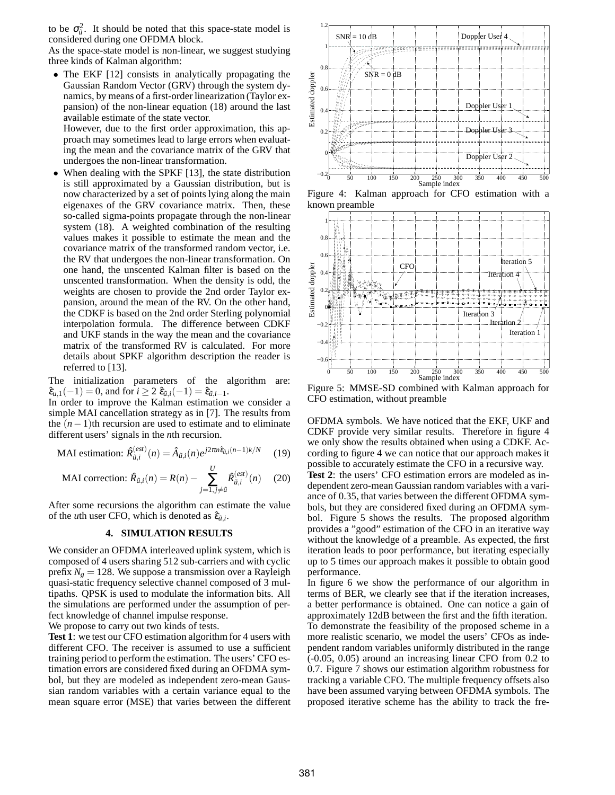to be  $\sigma_{\tilde{u}}^2$ . It should be noted that this space-state model is considered during one OFDMA block.

As the space-state model is non-linear, we suggest studying three kinds of Kalman algorithm:

• The EKF [12] consists in analytically propagating the Gaussian Random Vector (GRV) through the system dynamics, by means of a first-order linearization (Taylor expansion) of the non-linear equation (18) around the last available estimate of the state vector.

However, due to the first order approximation, this approach may sometimes lead to large errors when evaluating the mean and the covariance matrix of the GRV that undergoes the non-linear transformation.

When dealing with the SPKF [13], the state distribution is still approximated by a Gaussian distribution, but is now characterized by a set of points lying along the main eigenaxes of the GRV covariance matrix. Then, these so-called sigma-points propagate through the non-linear system (18). A weighted combination of the resulting values makes it possible to estimate the mean and the covariance matrix of the transformed random vector, i.e. the RV that undergoes the non-linear transformation. On one hand, the unscented Kalman filter is based on the unscented transformation. When the density is odd, the weights are chosen to provide the 2nd order Taylor expansion, around the mean of the RV. On the other hand, the CDKF is based on the 2nd order Sterling polynomial interpolation formula. The difference between CDKF and UKF stands in the way the mean and the covariance matrix of the transformed RV is calculated. For more details about SPKF algorithm description the reader is referred to [13].

The initialization parameters of the algorithm are:  $\hat{\epsilon}_{u,1}(-1) = 0$ , and for  $i \geq 2 \hat{\epsilon}_{\tilde{u},i}(-1) = \hat{\epsilon}_{\tilde{u},i-1}$ .

In order to improve the Kalman estimation we consider a simple MAI cancellation strategy as in [7]. The results from the  $(n-1)$ th recursion are used to estimate and to eliminate different users' signals in the *n*th recursion.

$$
\text{MAI estimation: } \hat{R}_{\tilde{u},i}^{(est)}(n) = \hat{A}_{\tilde{u},i}(n)e^{j2\pi n \hat{e}_{\tilde{u},i}(n-1)k/N} \tag{19}
$$

$$
\text{MAI correction: } \hat{R}_{\vec{u},i}(n) = R(n) - \sum_{j=1, j \neq \vec{u}}^{U} \hat{R}_{\vec{u},i}^{(est)}(n) \tag{20}
$$

After some recursions the algorithm can estimate the value of the *u*th user CFO, which is denoted as  $\hat{\varepsilon}_{\tilde{u},i}$ .

### **4. SIMULATION RESULTS**

We consider an OFDMA interleaved uplink system, which is composed of 4 users sharing 512 sub-carriers and with cyclic prefix  $N_g = 128$ . We suppose a transmission over a Rayleigh quasi-static frequency selective channel composed of 3 multipaths. QPSK is used to modulate the information bits. All the simulations are performed under the assumption of perfect knowledge of channel impulse response.

We propose to carry out two kinds of tests.

**Test 1**: we test our CFO estimation algorithm for 4 users with different CFO. The receiver is assumed to use a sufficient training period to perform the estimation. The users' CFO estimation errors are considered fixed during an OFDMA symbol, but they are modeled as independent zero-mean Gaussian random variables with a certain variance equal to the mean square error (MSE) that varies between the different



Figure 4: Kalman approach for CFO estimation with a known preamble



Figure 5: MMSE-SD combined with Kalman approach for CFO estimation, without preamble

OFDMA symbols. We have noticed that the EKF, UKF and CDKF provide very similar results. Therefore in figure 4 we only show the results obtained when using a CDKF. According to figure 4 we can notice that our approach makes it possible to accurately estimate the CFO in a recursive way. **Test 2**: the users' CFO estimation errors are modeled as independent zero-mean Gaussian random variables with a variance of 0.35, that varies between the different OFDMA symbols, but they are considered fixed during an OFDMA symbol. Figure 5 shows the results. The proposed algorithm provides a "good" estimation of the CFO in an iterative way without the knowledge of a preamble. As expected, the first iteration leads to poor performance, but iterating especially up to 5 times our approach makes it possible to obtain good performance.

In figure 6 we show the performance of our algorithm in terms of BER, we clearly see that if the iteration increases, a better performance is obtained. One can notice a gain of approximately 12dB between the first and the fifth iteration. To demonstrate the feasibility of the proposed scheme in a more realistic scenario, we model the users' CFOs as independent random variables uniformly distributed in the range (-0.05, 0.05) around an increasing linear CFO from 0.2 to 0.7. Figure 7 shows our estimation algorithm robustness for tracking a variable CFO. The multiple frequency offsets also have been assumed varying between OFDMA symbols. The proposed iterative scheme has the ability to track the fre-